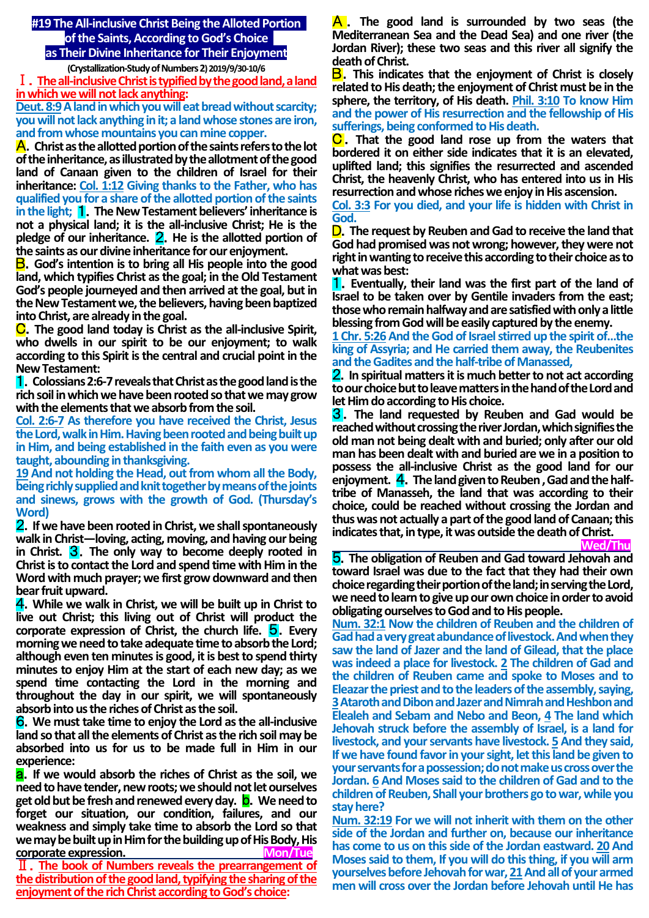# **#19 The All-inclusive Christ Being the Alloted Portion of the Saints, According to God's Choice as Their Divine Inheritance for Their Enjoyment**

**(Crystallization-Study of Numbers 2) 2019/9/30-10/6** Ⅰ.**The all-inclusive Christ is typified by the good land, a land in which we will not lack anything:**

**Deut. 8:9A land in which you will eat bread without scarcity; you will not lack anything in it; a land whose stones are iron, and from whose mountains you can mine copper.**

A.**Christ as the allotted portion of the saints refers to the lot of the inheritance, as illustrated by the allotment of the good land of Canaan given to the children of Israel for their inheritance: Col. 1:12 Giving thanks to the Father, who has qualified you for a share of the allotted portion of the saints in the light; 1. The New Testament believers' inheritance is not a physical land; it is the all-inclusive Christ; He is the pledge of our inheritance.** 2.**He is the allotted portion of the saints as our divine inheritance for our enjoyment.**

B.**God's intention is to bring all His people into the good land, which typifies Christ as the goal; in the Old Testament God's people journeyed and then arrived at the goal, but in the New Testament we, the believers, having been baptized into Christ, are already in the goal.**

C.**The good land today is Christ as the all-inclusive Spirit, who dwells in our spirit to be our enjoyment; to walk according to this Spirit is the central and crucial point in the New Testament:**

1.**Colossians 2:6-7 reveals that Christ as the good land is the rich soil in which we have been rooted so that we may grow with the elements that we absorb from the soil.** 

**Col. 2:6-7 As therefore you have received the Christ, Jesus the Lord, walk in Him. Having been rooted and being built up in Him, and being established in the faith even as you were taught, abounding in thanksgiving.**

**19 And not holding the Head, out from whom all the Body, being richly supplied and knit together by means of the joints and sinews, grows with the growth of God. (Thursday's Word)**

2.**If we have been rooted in Christ, we shall spontaneously walk in Christ—loving, acting, moving, and having our being**  in Christ. **3**. The only way to become deeply rooted in **Christ is to contact the Lord and spend time with Him in the Word with much prayer; we first grow downward and then bear fruit upward.**

4.**While we walk in Christ, we will be built up in Christ to live out Christ; this living out of Christ will product the corporate expression of Christ, the church life. <b>5.** Every **morning we need to take adequate time to absorb the Lord; although even ten minutes is good, it is best to spend thirty minutes to enjoy Him at the start of each new day; as we spend time contacting the Lord in the morning and throughout the day in our spirit, we will spontaneously absorb into us the riches of Christ as the soil.**

6.**We must take time to enjoy the Lord as the all-inclusive land so that all the elements of Christ as the rich soil may be absorbed into us for us to be made full in Him in our experience:**

a.**If we would absorb the riches of Christ as the soil, we need to have tender, new roots; we should not let ourselves get old but be fresh and renewed every day. D.** We need to **forget our situation, our condition, failures, and our weakness and simply take time to absorb the Lord so that we may be built up in Him for the building up of His Body, His corporate expression.** Mon/Tue

Ⅱ.**The book of Numbers reveals the prearrangement of the distribution of the good land, typifying the sharing of the enjoyment of the rich Christ according to God's choice:**

A . **The good land is surrounded by two seas (the Mediterranean Sea and the Dead Sea) and one river (the Jordan River); these two seas and this river all signify the death of Christ.**

**B**. This indicates that the enjoyment of Christ is closely **related to His death; the enjoyment of Christ must be in the sphere, the territory, of His death. Phil. 3:10 To know Him and the power of His resurrection and the fellowship of His sufferings, being conformed to His death.**

C . **That the good land rose up from the waters that bordered it on either side indicates that it is an elevated, uplifted land; this signifies the resurrected and ascended Christ, the heavenly Christ, who has entered into us in His resurrection and whose riches we enjoy in His ascension.** 

**Col. 3:3 For you died, and your life is hidden with Christ in God.**

D.**The request by Reuben and Gad to receive the land that God had promised was not wrong; however, they were not right in wanting to receive this according to their choice as to what was best:** 

1.**Eventually, their land was the first part of the land of Israel to be taken over by Gentile invaders from the east; those who remain halfway and are satisfied with only a little blessing from God will be easily captured by the enemy.**

**1 Chr. 5:26And the God of Israel stirred up the spirit of…the king of Assyria; and He carried them away, the Reubenites and the Gadites and the half-tribe of Manassed,**

2.**In spiritual matters it is much better to not act according to our choice but to leave matters in the hand of the Lord and let Him do according to His choice.**

3.**The land requested by Reuben and Gad would be reached without crossing the river Jordan, which signifies the old man not being dealt with and buried; only after our old man has been dealt with and buried are we in a position to possess the all-inclusive Christ as the good land for our enjoyment.** 4.**The land given to Reuben , Gad and the halftribe of Manasseh, the land that was according to their choice, could be reached without crossing the Jordan and thus was not actually a part of the good land of Canaan;this indicates that, in type, it was outside the death of Christ.**

 **Wed/Thu** 5.**The obligation of Reuben and Gad toward Jehovah and toward Israel was due to the fact that they had their own choice regarding their portion of the land; in serving the Lord, we need to learn to give up our own choice in order to avoid obligating ourselvesto God and to His people.** 

**Num. 32:1 Now the children of Reuben and the children of Gad had a very great abundance of livestock. And when they saw the land of Jazer and the land of Gilead, that the place was indeed a place for livestock. 2 The children of Gad and the children of Reuben came and spoke to Moses and to Eleazar the priest and to the leaders of the assembly, saying, 3Ataroth and Dibon and Jazer and Nimrah and Heshbon and Elealeh and Sebam and Nebo and Beon, 4 The land which Jehovah struck before the assembly of Israel, is a land for livestock, and your servants have livestock. 5 And they said, If we have found favor in your sight, let this land be given to your servants for a possession; do not make us cross over the Jordan. 6 And Moses said to the children of Gad and to the children of Reuben, Shall your brothers go to war, while you stay here?**

**Num. 32:19 For we will not inherit with them on the other side of the Jordan and further on, because our inheritance has come to us on this side of the Jordan eastward. 20 And Moses said to them, If you will do this thing, if you will arm yourselves before Jehovah for war, 21And all of your armed men will cross over the Jordan before Jehovah until He has**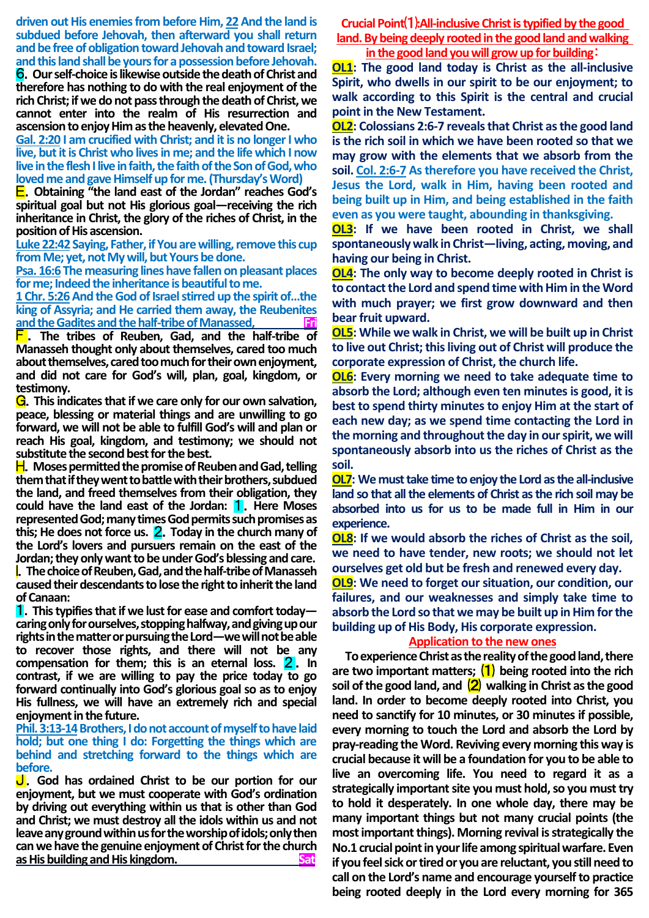**driven out His enemies from before Him, 22 And the land is subdued before Jehovah, then afterward you shall return and be free of obligation toward Jehovah and toward Israel; and this land shall be yours for a possession before Jehovah.** 

6.**Our self-choice is likewise outside the death of Christ and therefore has nothing to do with the real enjoyment of the rich Christ; if we do not pass through the death of Christ, we cannot enter into the realm of His resurrection and ascension to enjoy Himas the heavenly, elevated One.** 

**Gal. 2:20 I am crucified with Christ; and it is no longer I who live, but it is Christ who lives in me; and the life which I now live in the flesh I live in faith, the faith of the Son of God, who loved me and gave Himself up for me. (Thursday's Word)**

E.**Obtaining "the land east of the Jordan" reaches God's spiritual goal but not His glorious goal—receiving the rich inheritance in Christ, the glory of the riches of Christ, in the position of His ascension.**

Luke 22:42 Saying, Father, if You are willing, remove this cup **from Me; yet, not My will, but Yours be done.**

**Psa. 16:6 The measuring lines have fallen on pleasant places for me; Indeed the inheritance is beautiful to me.**

**1 Chr. 5:26And the God of Israel stirred up the spirit of…the king of Assyria; and He carried them away, the Reubenites**  and the Gadites and the half-tribe of Manassed,

F . **The tribes of Reuben, Gad, and the half-tribe of Manasseh thought only about themselves, cared too much about themselves, cared too much for their own enjoyment, and did not care for God's will, plan, goal, kingdom, or testimony.**

G.**This indicates that if we care only for our own salvation, peace, blessing or material things and are unwilling to go forward, we will not be able to fulfill God's will and plan or reach His goal, kingdom, and testimony; we should not substitute the second best for the best.**

H.**Moses permitted the promise of Reuben and Gad, telling them that if they went to battle with their brothers, subdued the land, and freed themselves from their obligation, they could have the land east of the Jordan:** 1.**Here Moses represented God; many times God permits such promises as this; He does not force us.** 2.**Today in the church many of the Lord's lovers and pursuers remain on the east of the Jordan; they only want to be under God's blessing and care.** I.**The choice of Reuben, Gad, and the half-tribe of Manasseh caused their descendants to lose the right to inherit the land of Canaan:**

1.**This typifies that if we lust for ease and comfort today caring only for ourselves, stopping halfway, and giving up our rights in the matter or pursuing the Lord—we will not be able to recover those rights, and there will not be any compensation for them; this is an eternal loss.** 2 . **In contrast, if we are willing to pay the price today to go forward continually into God's glorious goal so as to enjoy His fullness, we will have an extremely rich and special enjoyment in the future.**

#### **Phil. 3:13-14 Brothers, I do not account of myself to have laid hold; but one thing I do: Forgetting the things which are behind and stretching forward to the things which are before.**

J.**God has ordained Christ to be our portion for our enjoyment, but we must cooperate with God's ordination by driving out everything within us that is other than God and Christ; we must destroy all the idols within us and not leave any ground within us for the worship of idols; only then can we have the genuine enjoyment of Christ for the church as His building and His kingdom.** Sat

**Crucial Point**⑴**:All-inclusive Christ is typified by the good land. By being deeply rooted in the good land and walking in the good land you will grow up for building**:

**OL1: The good land today is Christ as the all-inclusive Spirit, who dwells in our spirit to be our enjoyment; to walk according to this Spirit is the central and crucial point in the New Testament.**

**OL2: Colossians 2:6-7 reveals that Christ as the good land is the rich soil in which we have been rooted so that we may grow with the elements that we absorb from the soil. Col. 2:6-7 As therefore you have received the Christ, Jesus the Lord, walk in Him, having been rooted and being built up in Him, and being established in the faith even as you were taught, abounding in thanksgiving.**

**OL3: If we have been rooted in Christ, we shall spontaneously walk in Christ—living, acting, moving, and having our being in Christ.**

**OL4: The only way to become deeply rooted in Christ is to contact the Lord and spend time with Him in the Word with much prayer; we first grow downward and then bear fruit upward.**

**OL5: While we walk in Christ, we will be built up in Christ to live out Christ; this living out of Christ will produce the corporate expression of Christ, the church life.**

**OL6: Every morning we need to take adequate time to absorb the Lord; although even ten minutes is good, it is best to spend thirty minutes to enjoy Him at the start of each new day; as we spend time contacting the Lord in the morning and throughout the day in our spirit, we will spontaneously absorb into us the riches of Christ as the soil.**

**OL7: We must take time to enjoy the Lord as the all-inclusive land so that all the elements of Christ as the rich soil may be absorbed into us for us to be made full in Him in our experience.**

**OL8: If we would absorb the riches of Christ as the soil, we need to have tender, new roots; we should not let ourselves get old but be fresh and renewed every day.**

**OL9: We need to forget our situation, our condition, our failures, and our weaknesses and simply take time to absorb the Lord so that we may be built up in Him for the building up of His Body, His corporate expression.**

## **Application to the new ones**

**To experience Christ as the reality of the good land, there are two important matters;** ⑴ **being rooted into the rich soil of the good land, and** ⑵ **walking in Christ as the good land. In order to become deeply rooted into Christ, you need to sanctify for 10 minutes, or 30 minutes if possible, every morning to touch the Lord and absorb the Lord by pray-reading the Word. Reviving every morning this way is crucial because it will be a foundation for you to be able to live an overcoming life. You need to regard it as a strategically important site you must hold, so you must try to hold it desperately. In one whole day, there may be many important things but not many crucial points (the most important things). Morning revival is strategically the No.1 crucial point in your life among spiritual warfare. Even if you feel sick or tired or you are reluctant, you still need to call on the Lord's name and encourage yourself to practice being rooted deeply in the Lord every morning for 365**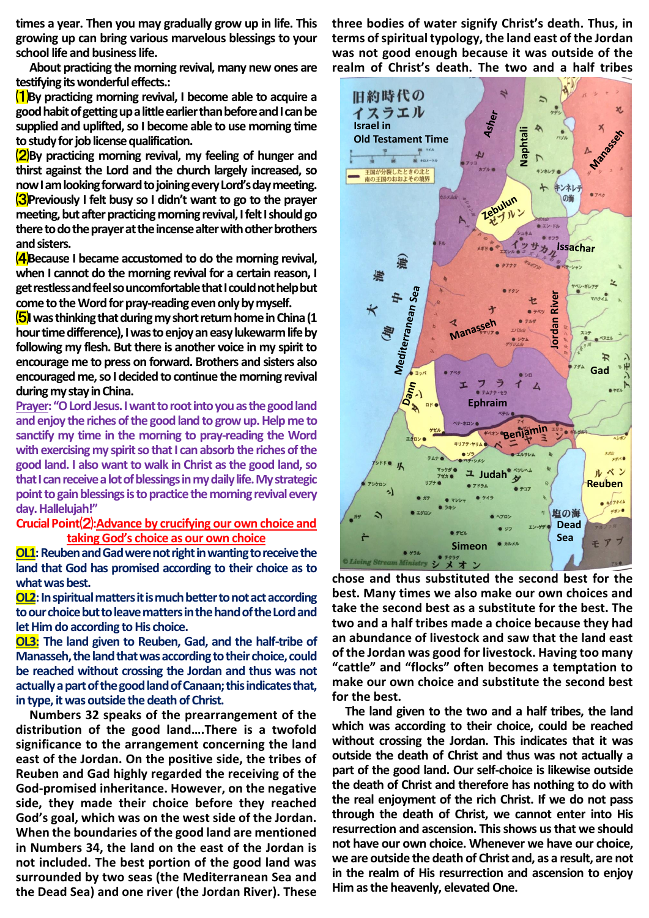**times a year. Then you may gradually grow up in life. This growing up can bring various marvelous blessings to your school life and business life.**

**About practicing the morning revival, many new ones are testifying its wonderful effects.:**

⑴**By practicing morning revival, I become able to acquire a good habit of getting up a little earlierthan beforeand I can be supplied and uplifted, so I become able to use morning time to study for job license qualification.**

⑵**By practicing morning revival, my feeling of hunger and thirst against the Lord and the church largely increased, so now I am looking forward to joining every Lord's day meeting.** ⑶**Previously I felt busy so I didn't want to go to the prayer meeting, but after practicing morning revival, I felt I should go there to do the prayer at the incense alter with other brothers and sisters.**

⑷**Because I became accustomed to do the morning revival, when I cannot do the morning revival for a certain reason, I get restless and feel so uncomfortable that I could not help but come to the Word for pray-reading even only by myself.**

**<u>[5</u>] was thinking that during my short return home in China (1**) **hour time difference), I was to enjoy an easy lukewarm life by following my flesh. But there is another voice in my spirit to encourage me to press on forward. Brothers and sisters also encouraged me, so I decided to continue the morning revival during my stay in China.**

**Prayer:"O Lord Jesus. I want to root into you as the good land and enjoy the riches of the good land to grow up. Help me to sanctify my time in the morning to pray-reading the Word with exercising my spirit so that I can absorb the riches of the good land. I also want to walk in Christ as the good land, so that I can receive a lot of blessings in my daily life. My strategic point to gain blessings is to practice the morning revival every day. Hallelujah!"**

## **Crucial Point**⑵**:Advance by crucifying our own choice and taking God's choice as our own choice**

**OL1:** Reuben and Gad were not right in wanting to receive the **land that God has promised according to their choice as to what was best.**

**OL2:** In spiritual matters it is much better to not act according **to our choice butto leave matters in the hand of the Lord and let Him do according to His choice.**

**OL3: The land given to Reuben, Gad, and the half-tribe of Manasseh, the land that was according to their choice, could be reached without crossing the Jordan and thus was not actually a part of the good land of Canaan; this indicates that, in type, it was outside the death of Christ.** 

**Numbers 32 speaks of the prearrangement of the distribution of the good land….There is a twofold significance to the arrangement concerning the land east of the Jordan. On the positive side, the tribes of Reuben and Gad highly regarded the receiving of the God-promised inheritance. However, on the negative side, they made their choice before they reached God's goal, which was on the west side of the Jordan. When the boundaries of the good land are mentioned in Numbers 34, the land on the east of the Jordan is not included. The best portion of the good land was surrounded by two seas (the Mediterranean Sea and the Dead Sea) and one river (the Jordan River). These**  **three bodies of water signify Christ's death. Thus, in terms of spiritual typology, the land east of the Jordan was not good enough because it was outside of the realm of Christ's death. The two and a half tribes** 



**chose and thus substituted the second best for the best. Many times we also make our own choices and take the second best as a substitute for the best. The two and a half tribes made a choice because they had an abundance of livestock and saw that the land east of the Jordan was good for livestock. Having too many "cattle" and "flocks" often becomes a temptation to make our own choice and substitute the second best for the best.**

**The land given to the two and a half tribes, the land which was according to their choice, could be reached without crossing the Jordan. This indicates that it was outside the death of Christ and thus was not actually a part of the good land. Our self-choice is likewise outside the death of Christ and therefore has nothing to do with the real enjoyment of the rich Christ. If we do not pass through the death of Christ, we cannot enter into His resurrection and ascension. This shows us that we should not have our own choice. Whenever we have our choice, we are outside the death of Christ and, as a result, are not in the realm of His resurrection and ascension to enjoy Him as the heavenly, elevated One.**